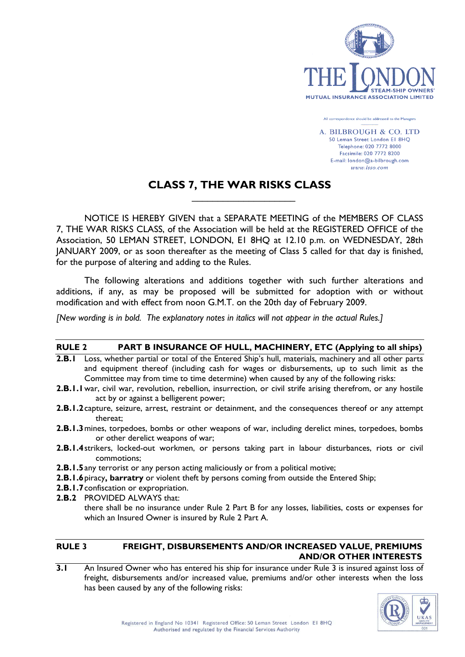

All correspondence should be addressed to the Managers

A. BILBROUGH & CO. LTD 50 Leman Street London El 8HQ Telephone: 020 7772 8000 Facsimile: 020 7772 8200 E-mail: london@a-bilbrough.com www.lsso.com

# **CLASS 7, THE WAR RISKS CLASS**

 $\mathcal{L}_\text{max}$  and  $\mathcal{L}_\text{max}$  and  $\mathcal{L}_\text{max}$  and  $\mathcal{L}_\text{max}$  and  $\mathcal{L}_\text{max}$ 

NOTICE IS HEREBY GIVEN that a SEPARATE MEETING of the MEMBERS OF CLASS 7, THE WAR RISKS CLASS, of the Association will be held at the REGISTERED OFFICE of the Association, 50 LEMAN STREET, LONDON, E1 8HQ at 12.10 p.m. on WEDNESDAY, 28th JANUARY 2009, or as soon thereafter as the meeting of Class 5 called for that day is finished, for the purpose of altering and adding to the Rules.

The following alterations and additions together with such further alterations and additions, if any, as may be proposed will be submitted for adoption with or without modification and with effect from noon G.M.T. on the 20th day of February 2009.

*[New wording is in bold. The explanatory notes in italics will not appear in the actual Rules.]* 

### **RULE 2 PART B INSURANCE OF HULL, MACHINERY, ETC (Applying to all ships)**

- **2.B.1** Loss, whether partial or total of the Entered Ship's hull, materials, machinery and all other parts and equipment thereof (including cash for wages or disbursements, up to such limit as the Committee may from time to time determine) when caused by any of the following risks:
- **2.B.1.1** war, civil war, revolution, rebellion, insurrection, or civil strife arising therefrom, or any hostile act by or against a belligerent power;
- **2.B.1.2** capture, seizure, arrest, restraint or detainment, and the consequences thereof or any attempt thereat;
- **2.B.1.3** mines, torpedoes, bombs or other weapons of war, including derelict mines, torpedoes, bombs or other derelict weapons of war;
- **2.B.1.4** strikers, locked-out workmen, or persons taking part in labour disturbances, riots or civil commotions;
- **2.B.1.5** any terrorist or any person acting maliciously or from a political motive;
- **2.B.1.6** piracy**, barratry** or violent theft by persons coming from outside the Entered Ship;
- **2.B.1.7** confiscation or expropriation.
- **2.B.2** PROVIDED ALWAYS that:

there shall be no insurance under Rule 2 Part B for any losses, liabilities, costs or expenses for which an Insured Owner is insured by Rule 2 Part A.

# **RULE 3 FREIGHT, DISBURSEMENTS AND/OR INCREASED VALUE, PREMIUMS AND/OR OTHER INTERESTS**

**3.1** An Insured Owner who has entered his ship for insurance under Rule 3 is insured against loss of freight, disbursements and/or increased value, premiums and/or other interests when the loss has been caused by any of the following risks:

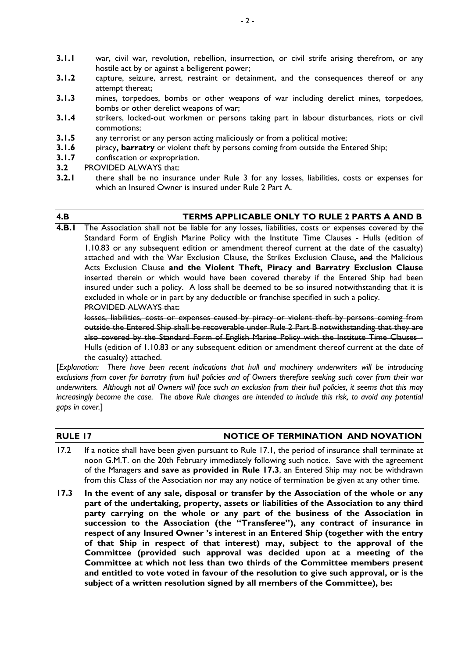- **3.1.1** war, civil war, revolution, rebellion, insurrection, or civil strife arising therefrom, or any hostile act by or against a belligerent power;
- **3.1.2** capture, seizure, arrest, restraint or detainment, and the consequences thereof or any attempt thereat;
- **3.1.3** mines, torpedoes, bombs or other weapons of war including derelict mines, torpedoes, bombs or other derelict weapons of war;
- **3.1.4** strikers, locked-out workmen or persons taking part in labour disturbances, riots or civil commotions;
- **3.1.5** any terrorist or any person acting maliciously or from a political motive;
- **3.1.6** piracy, **barratry** or violent theft by persons coming from outside the Entered Ship;
- **3.1.7** confiscation or expropriation.
- **3.2** PROVIDED ALWAYS that:
- **3.2.1** there shall be no insurance under Rule 3 for any losses, liabilities, costs or expenses for which an Insured Owner is insured under Rule 2 Part A.

# **4.B TERMS APPLICABLE ONLY TO RULE 2 PARTS A AND B**

**4.B.1** The Association shall not be liable for any losses, liabilities, costs or expenses covered by the Standard Form of English Marine Policy with the Institute Time Clauses - Hulls (edition of 1.10.83 or any subsequent edition or amendment thereof current at the date of the casualty) attached and with the War Exclusion Clause, the Strikes Exclusion Clause**,** and the Malicious Acts Exclusion Clause **and the Violent Theft, Piracy and Barratry Exclusion Clause** inserted therein or which would have been covered thereby if the Entered Ship had been insured under such a policy. A loss shall be deemed to be so insured notwithstanding that it is excluded in whole or in part by any deductible or franchise specified in such a policy. PROVIDED ALWAYS that:

 losses, liabilities, costs or expenses caused by piracy or violent theft by persons coming from outside the Entered Ship shall be recoverable under Rule 2 Part B notwithstanding that they are also covered by the Standard Form of English Marine Policy with the Institute Time Clauses -Hulls (edition of 1.10.83 or any subsequent edition or amendment thereof current at the date of the casualty) attached.

[*Explanation: There have been recent indications that hull and machinery underwriters will be introducing exclusions from cover for barratry from hull policies and of Owners therefore seeking such cover from their war underwriters. Although not all Owners will face such an exclusion from their hull policies, it seems that this may increasingly become the case. The above Rule changes are intended to include this risk, to avoid any potential gaps in cover.*]

# **RULE 17 NOTICE OF TERMINATION AND NOVATION**

- 17.2 If a notice shall have been given pursuant to Rule 17.1, the period of insurance shall terminate at noon G.M.T. on the 20th February immediately following such notice. Save with the agreement of the Managers **and save as provided in Rule 17.3**, an Entered Ship may not be withdrawn from this Class of the Association nor may any notice of termination be given at any other time.
- **17.3 In the event of any sale, disposal or transfer by the Association of the whole or any part of the undertaking, property, assets or liabilities of the Association to any third party carrying on the whole or any part of the business of the Association in succession to the Association (the "Transferee"), any contract of insurance in respect of any Insured Owner 's interest in an Entered Ship (together with the entry of that Ship in respect of that interest) may, subject to the approval of the Committee (provided such approval was decided upon at a meeting of the Committee at which not less than two thirds of the Committee members present and entitled to vote voted in favour of the resolution to give such approval, or is the subject of a written resolution signed by all members of the Committee), be:**